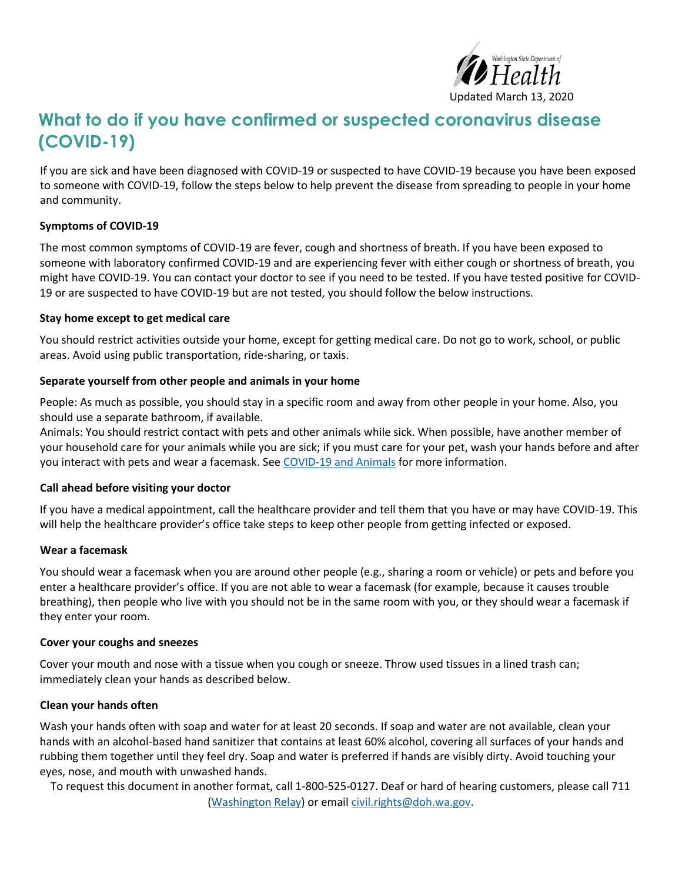

# **What to do if you have confirmed or suspected coronavirus disease (COVID-19)**

If you are sick and have been diagnosed with COVID-19 or suspected to have COVID-19 because you have been exposed to someone with COVID-19, follow the steps below to help prevent the disease from spreading to people in your home and community.

## **Symptoms of COVID-19**

The most common symptoms of COVID-19 are fever, cough and shortness of breath. If you have been exposed to someone with laboratory confirmed COVID-19 and are experiencing fever with either cough or shortness of breath, you might have COVID-19. You can contact your doctor to see if you need to be tested. If you have tested positive for COVID-19 or are suspected to have COVID-19 but are not tested, you should follow the below instructions.

#### **Stay home except to get medical care**

You should restrict activities outside your home, except for getting medical care. Do not go to work, school, or public areas. Avoid using public transportation, ride-sharing, or taxis.

## **Separate yourself from other people and animals in your home**

People: As much as possible, you should stay in a specific room and away from other people in your home. Also, you should use a separate bathroom, if available.

Animals: You should restrict contact with pets and other animals while sick. When possible, have another member of your household care for your animals while you are sick; if you must care for your pet, wash your hands before and after you interact with pets and wear a facemask. Se[e COVID-19 and Animals](https://www.cdc.gov/coronavirus/2019-ncov/faq.html#animals) for more information.

## **Call ahead before visiting your doctor**

If you have a medical appointment, call the healthcare provider and tell them that you have or may have COVID-19. This will help the healthcare provider's office take steps to keep other people from getting infected or exposed.

## **Wear a facemask**

You should wear a facemask when you are around other people (e.g., sharing a room or vehicle) or pets and before you enter a healthcare provider's office. If you are not able to wear a facemask (for example, because it causes trouble breathing), then people who live with you should not be in the same room with you, or they should wear a facemask if they enter your room.

## **Cover your coughs and sneezes**

Cover your mouth and nose with a tissue when you cough or sneeze. Throw used tissues in a lined trash can; immediately clean your hands as described below.

## **Clean your hands often**

Wash your hands often with soap and water for at least 20 seconds. If soap and water are not available, clean your hands with an alcohol-based hand sanitizer that contains at least 60% alcohol, covering all surfaces of your hands and rubbing them together until they feel dry. Soap and water is preferred if hands are visibly dirty. Avoid touching your eyes, nose, and mouth with unwashed hands.

To request this document in another format, call 1-800-525-0127. Deaf or hard of hearing customers, please call 711

(Washington Relay) or emai[l civil.rights@doh.wa.gov.](mailto:civil.rights@doh.wa.gov)